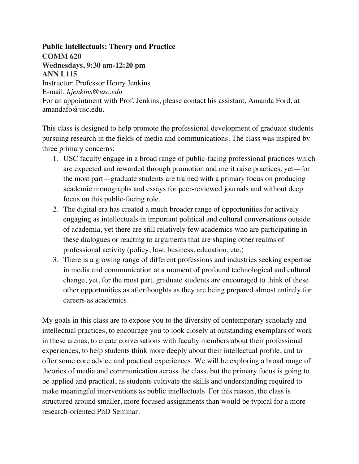#### **Public Intellectuals: Theory and Practice**

**COMM 620 Wednesdays, 9:30 am-12:20 pm ANN L115** Instructor: Professor Henry Jenkins E-mail: *hjenkins@usc.edu* For an appointment with Prof. Jenkins, please contact his assistant, Amanda Ford, at amandafo@usc.edu.

This class is designed to help promote the professional development of graduate students pursuing research in the fields of media and communications. The class was inspired by three primary concerns:

- 1. USC faculty engage in a broad range of public-facing professional practices which are expected and rewarded through promotion and merit raise practices, yet—for the most part—graduate students are trained with a primary focus on producing academic monographs and essays for peer-reviewed journals and without deep focus on this public-facing role.
- 2. The digital era has created a much broader range of opportunities for actively engaging as intellectuals in important political and cultural conversations outside of academia, yet there are still relatively few academics who are participating in these dialogues or reacting to arguments that are shaping other realms of professional activity (policy, law, business, education, etc.)
- 3. There is a growing range of different professions and industries seeking expertise in media and communication at a moment of profound technological and cultural change, yet, for the most part, graduate students are encouraged to think of these other opportunities as afterthoughts as they are being prepared almost entirely for careers as academics.

My goals in this class are to expose you to the diversity of contemporary scholarly and intellectual practices, to encourage you to look closely at outstanding exemplars of work in these arenas, to create conversations with faculty members about their professional experiences, to help students think more deeply about their intellectual profile, and to offer some core advice and practical experiences. We will be exploring a broad range of theories of media and communication across the class, but the primary focus is going to be applied and practical, as students cultivate the skills and understanding required to make meaningful interventions as public intellectuals. For this reason, the class is structured around smaller, more focused assignments than would be typical for a more research-oriented PhD Seminar.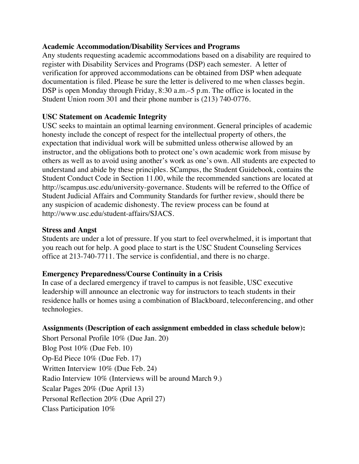#### **Academic Accommodation/Disability Services and Programs**

Any students requesting academic accommodations based on a disability are required to register with Disability Services and Programs (DSP) each semester. A letter of verification for approved accommodations can be obtained from DSP when adequate documentation is filed. Please be sure the letter is delivered to me when classes begin. DSP is open Monday through Friday, 8:30 a.m.–5 p.m. The office is located in the Student Union room 301 and their phone number is (213) 740-0776.

#### **USC Statement on Academic Integrity**

USC seeks to maintain an optimal learning environment. General principles of academic honesty include the concept of respect for the intellectual property of others, the expectation that individual work will be submitted unless otherwise allowed by an instructor, and the obligations both to protect one's own academic work from misuse by others as well as to avoid using another's work as one's own. All students are expected to understand and abide by these principles. SCampus, the Student Guidebook, contains the Student Conduct Code in Section 11.00, while the recommended sanctions are located at http://scampus.usc.edu/university-governance. Students will be referred to the Office of Student Judicial Affairs and Community Standards for further review, should there be any suspicion of academic dishonesty. The review process can be found at http://www.usc.edu/student-affairs/SJACS.

#### **Stress and Angst**

Students are under a lot of pressure. If you start to feel overwhelmed, it is important that you reach out for help. A good place to start is the USC Student Counseling Services office at 213-740-7711. The service is confidential, and there is no charge.

## **Emergency Preparedness/Course Continuity in a Crisis**

In case of a declared emergency if travel to campus is not feasible, USC executive leadership will announce an electronic way for instructors to teach students in their residence halls or homes using a combination of Blackboard, teleconferencing, and other technologies.

## **Assignments (Description of each assignment embedded in class schedule below):**

Short Personal Profile 10% (Due Jan. 20) Blog Post 10% (Due Feb. 10) Op-Ed Piece 10% (Due Feb. 17) Written Interview 10% (Due Feb. 24) Radio Interview 10% (Interviews will be around March 9.) Scalar Pages 20% (Due April 13) Personal Reflection 20% (Due April 27) Class Participation 10%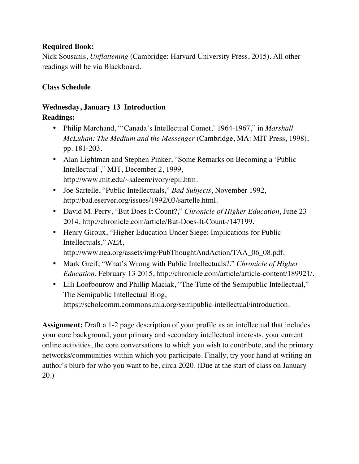#### **Required Book:**

Nick Sousanis, *Unflattening* (Cambridge: Harvard University Press, 2015). All other readings will be via Blackboard.

## **Class Schedule**

#### **Wednesday, January 13 Introduction Readings:**

- Philip Marchand, "'Canada's Intellectual Comet,' 1964-1967," in *Marshall McLuhan: The Medium and the Messenger* (Cambridge, MA: MIT Press, 1998), pp. 181-203.
- Alan Lightman and Stephen Pinker, "Some Remarks on Becoming a 'Public Intellectual'," MIT, December 2, 1999, http://www.mit.edu/~saleem/ivory/epil.htm.
- Joe Sartelle, "Public Intellectuals," *Bad Subjects*, November 1992, http://bad.eserver.org/issues/1992/03/sartelle.html.
- David M. Perry, "But Does It Count?," *Chronicle of Higher Education*, June 23 2014, http://chronicle.com/article/But-Does-It-Count-/147199.
- Henry Giroux, "Higher Education Under Siege: Implications for Public Intellectuals," *NEA*,

http://www.nea.org/assets/img/PubThoughtAndAction/TAA\_06\_08.pdf.

- Mark Greif, "What's Wrong with Public Intellectuals?," *Chronicle of Higher Education*, February 13 2015, http://chronicle.com/article/article-content/189921/.
- Lili Loofbourow and Phillip Maciak, "The Time of the Semipublic Intellectual," The Semipublic Intellectual Blog,

https://scholcomm.commons.mla.org/semipublic-intellectual/introduction.

**Assignment:** Draft a 1-2 page description of your profile as an intellectual that includes your core background, your primary and secondary intellectual interests, your current online activities, the core conversations to which you wish to contribute, and the primary networks/communities within which you participate. Finally, try your hand at writing an author's blurb for who you want to be, circa 2020. (Due at the start of class on January 20.)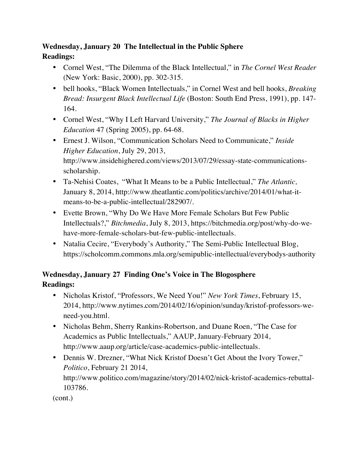# **Wednesday, January 20 The Intellectual in the Public Sphere Readings:**

- Cornel West, "The Dilemma of the Black Intellectual," in *The Cornel West Reader* (New York: Basic, 2000), pp. 302-315.
- bell hooks, "Black Women Intellectuals," in Cornel West and bell hooks, *Breaking Bread: Insurgent Black Intellectual Life* (Boston: South End Press, 1991), pp. 147- 164.
- Cornel West, "Why I Left Harvard University," *The Journal of Blacks in Higher Education* 47 (Spring 2005), pp. 64-68.
- Ernest J. Wilson, "Communication Scholars Need to Communicate," *Inside Higher Education*, July 29, 2013, http://www.insidehighered.com/views/2013/07/29/essay-state-communicationsscholarship.
- Ta-Nehisi Coates, "What It Means to be a Public Intellectual," *The Atlantic,* January 8, 2014, http://www.theatlantic.com/politics/archive/2014/01/what-itmeans-to-be-a-public-intellectual/282907/.
- Evette Brown, "Why Do We Have More Female Scholars But Few Public Intellectuals?," *Bitchmedia*, July 8, 2013, https://bitchmedia.org/post/why-do-wehave-more-female-scholars-but-few-public-intellectuals.
- Natalia Cecire, "Everybody's Authority," The Semi-Public Intellectual Blog, https://scholcomm.commons.mla.org/semipublic-intellectual/everybodys-authority

# **Wednesday, January 27 Finding One's Voice in The Blogosphere Readings:**

- Nicholas Kristof, "Professors, We Need You!" *New York Times*, February 15, 2014, http://www.nytimes.com/2014/02/16/opinion/sunday/kristof-professors-weneed-you.html.
- Nicholas Behm, Sherry Rankins-Robertson, and Duane Roen, "The Case for Academics as Public Intellectuals," AAUP, January-February 2014, http://www.aaup.org/article/case-academics-public-intellectuals.
- Dennis W. Drezner, "What Nick Kristof Doesn't Get About the Ivory Tower," *Politico*, February 21 2014, http://www.politico.com/magazine/story/2014/02/nick-kristof-academics-rebuttal-103786.

(cont.)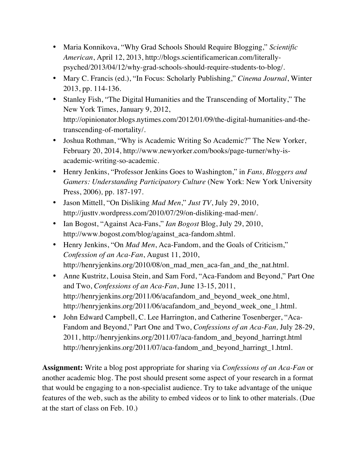- Maria Konnikova, "Why Grad Schools Should Require Blogging," *Scientific American*, April 12, 2013, http://blogs.scientificamerican.com/literallypsyched/2013/04/12/why-grad-schools-should-require-students-to-blog/.
- Mary C. Francis (ed.), "In Focus: Scholarly Publishing," *Cinema Journal*, Winter 2013, pp. 114-136.
- Stanley Fish, "The Digital Humanities and the Transcending of Mortality," The New York Times, January 9, 2012, http://opinionator.blogs.nytimes.com/2012/01/09/the-digital-humanities-and-thetranscending-of-mortality/.
- Joshua Rothman, "Why is Academic Writing So Academic?" The New Yorker, February 20, 2014, http://www.newyorker.com/books/page-turner/why-isacademic-writing-so-academic.
- Henry Jenkins, "Professor Jenkins Goes to Washington," in *Fans, Bloggers and Gamers: Understanding Participatory Culture* (New York: New York University Press, 2006)*,* pp. 187-197.
- Jason Mittell, "On Disliking *Mad Men*," *Just TV*, July 29, 2010, http://justtv.wordpress.com/2010/07/29/on-disliking-mad-men/.
- Ian Bogost, "Against Aca-Fans," *Ian Bogost* Blog, July 29, 2010, http://www.bogost.com/blog/against\_aca-fandom.shtml.
- Henry Jenkins, "On *Mad Men*, Aca-Fandom, and the Goals of Criticism," *Confession of an Aca-Fan*, August 11, 2010, http://henryjenkins.org/2010/08/on\_mad\_men\_aca-fan\_and\_the\_nat.html.
- Anne Kustritz, Louisa Stein, and Sam Ford, "Aca-Fandom and Beyond," Part One and Two, *Confessions of an Aca-Fan*, June 13-15, 2011, http://henryjenkins.org/2011/06/acafandom\_and\_beyond\_week\_one.html, http://henryjenkins.org/2011/06/acafandom\_and\_beyond\_week\_one\_1.html.
- John Edward Campbell, C. Lee Harrington, and Catherine Tosenberger, "Aca-Fandom and Beyond," Part One and Two, *Confessions of an Aca-Fan,* July 28-29, 2011, http://henryjenkins.org/2011/07/aca-fandom\_and\_beyond\_harringt.html http://henryjenkins.org/2011/07/aca-fandom\_and\_beyond\_harringt\_1.html.

**Assignment:** Write a blog post appropriate for sharing via *Confessions of an Aca-Fan* or another academic blog. The post should present some aspect of your research in a format that would be engaging to a non-specialist audience. Try to take advantage of the unique features of the web, such as the ability to embed videos or to link to other materials. (Due at the start of class on Feb. 10.)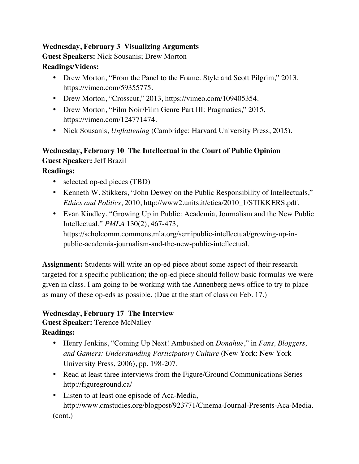# **Wednesday, February 3 Visualizing Arguments Guest Speakers:** Nick Sousanis; Drew Morton **Readings/Videos:**

- Drew Morton, "From the Panel to the Frame: Style and Scott Pilgrim," 2013, https://vimeo.com/59355775.
- Drew Morton, "Crosscut," 2013, https://vimeo.com/109405354.
- Drew Morton, "Film Noir/Film Genre Part III: Pragmatics," 2015, https://vimeo.com/124771474.
- Nick Sousanis, *Unflattening* (Cambridge: Harvard University Press, 2015).

# **Wednesday, February 10 The Intellectual in the Court of Public Opinion Guest Speaker:** Jeff Brazil

# **Readings:**

- selected op-ed pieces (TBD)
- Kenneth W. Stikkers, "John Dewey on the Public Responsibility of Intellectuals," *Ethics and Politics*, 2010, http://www2.units.it/etica/2010\_1/STIKKERS.pdf.
- Evan Kindley, "Growing Up in Public: Academia, Journalism and the New Public Intellectual," *PMLA* 130(2), 467-473, https://scholcomm.commons.mla.org/semipublic-intellectual/growing-up-inpublic-academia-journalism-and-the-new-public-intellectual.

**Assignment:** Students will write an op-ed piece about some aspect of their research targeted for a specific publication; the op-ed piece should follow basic formulas we were given in class. I am going to be working with the Annenberg news office to try to place as many of these op-eds as possible. (Due at the start of class on Feb. 17.)

## **Wednesday, February 17 The Interview**

**Guest Speaker:** Terence McNalley

# **Readings:**

- Henry Jenkins, "Coming Up Next! Ambushed on *Donahue*," in *Fans, Bloggers, and Gamers: Understanding Participatory Culture* (New York: New York University Press, 2006), pp. 198-207.
- Read at least three interviews from the Figure/Ground Communications Series http://figureground.ca/
- Listen to at least one episode of Aca-Media, http://www.cmstudies.org/blogpost/923771/Cinema-Journal-Presents-Aca-Media. (cont.)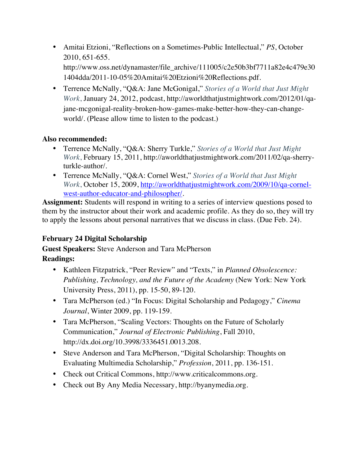- Amitai Etzioni, "Reflections on a Sometimes-Public Intellectual," *PS*, October 2010, 651-655. http://www.oss.net/dynamaster/file\_archive/111005/c2e50b3bf7711a82e4c479e30 1404dda/2011-10-05%20Amitai%20Etzioni%20Reflections.pdf.
- Terrence McNally, "Q&A: Jane McGonigal," *Stories of a World that Just Might Work*, January 24, 2012, podcast, http://aworldthatjustmightwork.com/2012/01/qajane-mcgonigal-reality-broken-how-games-make-better-how-they-can-changeworld/. (Please allow time to listen to the podcast.)

## **Also recommended:**

- Terrence McNally, "Q&A: Sherry Turkle," *Stories of a World that Just Might Work*, February 15, 2011, http://aworldthatjustmightwork.com/2011/02/qa-sherryturkle-author/.
- Terrence McNally, "Q&A: Cornel West," *Stories of a World that Just Might Work*, October 15, 2009, http://aworldthatjustmightwork.com/2009/10/qa-cornelwest-author-educator-and-philosopher/.

**Assignment:** Students will respond in writing to a series of interview questions posed to them by the instructor about their work and academic profile. As they do so, they will try to apply the lessons about personal narratives that we discuss in class. (Due Feb. 24).

# **February 24 Digital Scholarship**

**Guest Speakers:** Steve Anderson and Tara McPherson

# **Readings:**

- Kathleen Fitzpatrick, "Peer Review" and "Texts," in *Planned Obsolescence: Publishing, Technology, and the Future of the Academy* (New York: New York University Press, 2011), pp. 15-50, 89-120.
- Tara McPherson (ed.) "In Focus: Digital Scholarship and Pedagogy," *Cinema Journal*, Winter 2009, pp. 119-159.
- Tara McPherson, "Scaling Vectors: Thoughts on the Future of Scholarly Communication," *Journal of Electronic Publishing*, Fall 2010, http://dx.doi.org/10.3998/3336451.0013.208.
- Steve Anderson and Tara McPherson, "Digital Scholarship: Thoughts on Evaluating Multimedia Scholarship," *Profession*, 2011, pp. 136-151.
- Check out Critical Commons, http://www.criticalcommons.org.
- Check out By Any Media Necessary, http://byanymedia.org.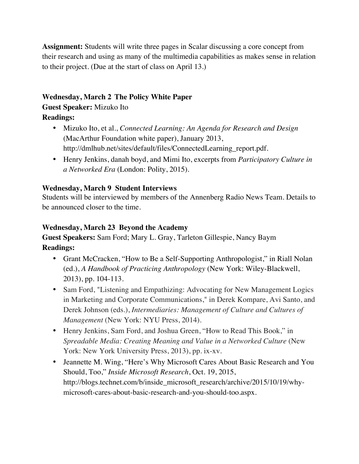**Assignment:** Students will write three pages in Scalar discussing a core concept from their research and using as many of the multimedia capabilities as makes sense in relation to their project. (Due at the start of class on April 13.)

# **Wednesday, March 2 The Policy White Paper**

# **Guest Speaker:** Mizuko Ito

# **Readings:**

- Mizuko Ito, et al., *Connected Learning: An Agenda for Research and Design*  (MacArthur Foundation white paper), January 2013, http://dmlhub.net/sites/default/files/ConnectedLearning\_report.pdf.
- Henry Jenkins, danah boyd, and Mimi Ito, excerpts from *Participatory Culture in a Networked Era* (London: Polity, 2015).

# **Wednesday, March 9 Student Interviews**

Students will be interviewed by members of the Annenberg Radio News Team. Details to be announced closer to the time.

## **Wednesday, March 23 Beyond the Academy**

**Guest Speakers:** Sam Ford; Mary L. Gray, Tarleton Gillespie, Nancy Baym **Readings:** 

- Grant McCracken, "How to Be a Self-Supporting Anthropologist," in Riall Nolan (ed.), *A Handbook of Practicing Anthropology* (New York: Wiley-Blackwell, 2013), pp. 104-113.
- Sam Ford, "Listening and Empathizing: Advocating for New Management Logics in Marketing and Corporate Communications," in Derek Kompare, Avi Santo, and Derek Johnson (eds.), *Intermediaries: Management of Culture and Cultures of Management* (New York: NYU Press, 2014).
- Henry Jenkins, Sam Ford, and Joshua Green, "How to Read This Book," in *Spreadable Media: Creating Meaning and Value in a Networked Culture* (New York: New York University Press, 2013), pp. ix-xv.
- Jeannette M. Wing, "Here's Why Microsoft Cares About Basic Research and You Should, Too," *Inside Microsoft Research*, Oct. 19, 2015, http://blogs.technet.com/b/inside\_microsoft\_research/archive/2015/10/19/whymicrosoft-cares-about-basic-research-and-you-should-too.aspx.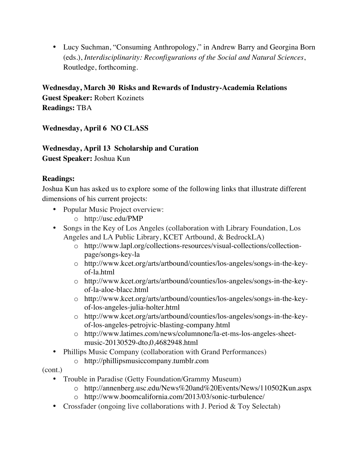• Lucy Suchman, "Consuming Anthropology," in Andrew Barry and Georgina Born (eds.), *Interdisciplinarity: Reconfigurations of the Social and Natural Sciences*, Routledge, forthcoming.

**Wednesday, March 30 Risks and Rewards of Industry-Academia Relations Guest Speaker:** Robert Kozinets **Readings:** TBA

**Wednesday, April 6 NO CLASS**

# **Wednesday, April 13 Scholarship and Curation**

**Guest Speaker:** Joshua Kun

## **Readings:**

Joshua Kun has asked us to explore some of the following links that illustrate different dimensions of his current projects:

- Popular Music Project overview:
	- o http://usc.edu/PMP
- Songs in the Key of Los Angeles (collaboration with Library Foundation, Los Angeles and LA Public Library, KCET Artbound, & BedrockLA)
	- o http://www.lapl.org/collections-resources/visual-collections/collectionpage/songs-key-la
	- o http://www.kcet.org/arts/artbound/counties/los-angeles/songs-in-the-keyof-la.html
	- o http://www.kcet.org/arts/artbound/counties/los-angeles/songs-in-the-keyof-la-aloe-blacc.html
	- o http://www.kcet.org/arts/artbound/counties/los-angeles/songs-in-the-keyof-los-angeles-julia-holter.html
	- o http://www.kcet.org/arts/artbound/counties/los-angeles/songs-in-the-keyof-los-angeles-petrojvic-blasting-company.html
	- o http://www.latimes.com/news/columnone/la-et-ms-los-angeles-sheetmusic-20130529-dto,0,4682948.html
- Phillips Music Company (collaboration with Grand Performances)
	- o http://phillipsmusiccompany.tumblr.com
- (cont.)
	- Trouble in Paradise (Getty Foundation/Grammy Museum)
		- o http://annenberg.usc.edu/News%20and%20Events/News/110502Kun.aspx
		- o http://www.boomcalifornia.com/2013/03/sonic-turbulence/
	- Crossfader (ongoing live collaborations with J. Period & Toy Selectah)